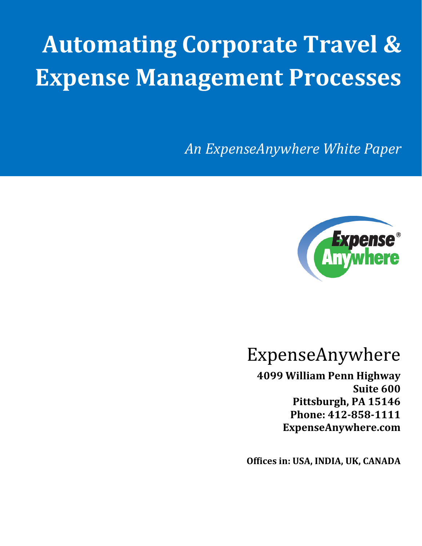# **Automating Corporate Travel & Expense Management Processes**

*An ExpenseAnywhere White Paper*



# ExpenseAnywhere

**4099 William Penn Highway Suite 600 Pittsburgh, PA 15146 Phone: 412-858-1111 ExpenseAnywhere.com**

**Offices in: USA, INDIA, UK, CANADA**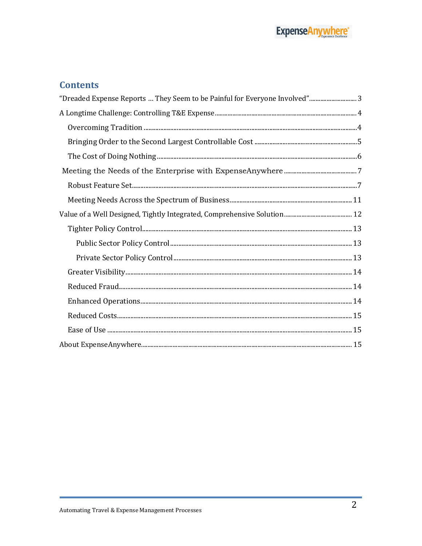#### **Contents**

| "Dreaded Expense Reports  They Seem to be Painful for Everyone Involved" 3 |  |
|----------------------------------------------------------------------------|--|
|                                                                            |  |
|                                                                            |  |
|                                                                            |  |
|                                                                            |  |
|                                                                            |  |
|                                                                            |  |
|                                                                            |  |
|                                                                            |  |
|                                                                            |  |
|                                                                            |  |
|                                                                            |  |
|                                                                            |  |
|                                                                            |  |
|                                                                            |  |
|                                                                            |  |
|                                                                            |  |
|                                                                            |  |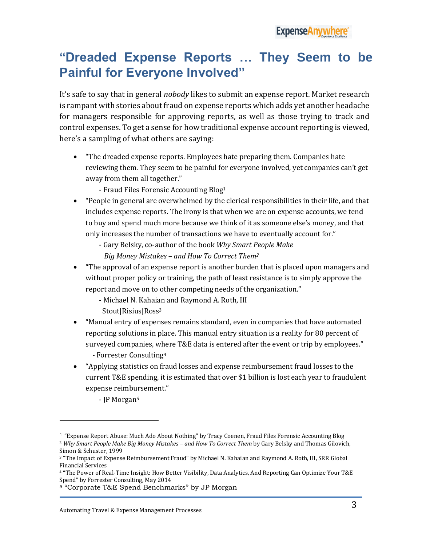### <span id="page-2-0"></span>**"Dreaded Expense Reports … They Seem to be Painful for Everyone Involved"**

It's safe to say that in general *nobody* likes to submit an expense report. Market research is rampant with stories about fraud on expense reports which adds yet another headache for managers responsible for approving reports, as well as those trying to track and control expenses. To get a sense for how traditional expense account reporting is viewed, here's a sampling of what others are saying:

- "The dreaded expense reports. Employees hate preparing them. Companies hate reviewing them. They seem to be painful for everyone involved, yet companies can't get away from them all together."
	- Fraud Files Forensic Accounting Blog<sup>1</sup>
- "People in general are overwhelmed by the clerical responsibilities in their life, and that includes expense reports. The irony is that when we are on expense accounts, we tend to buy and spend much more because we think of it as someone else's money, and that only increases the number of transactions we have to eventually account for."
	- Gary Belsky, co-author of the book *Why Smart People Make*
	- *Big Money Mistakes – and How To Correct Them<sup>2</sup>*
- "The approval of an expense report is another burden that is placed upon managers and without proper policy or training, the path of least resistance is to simply approve the report and move on to other competing needs of the organization."
	- Michael N. Kahaian and Raymond A. Roth, III Stout|Risius|Ross<sup>3</sup>
- "Manual entry of expenses remains standard, even in companies that have automated reporting solutions in place. This manual entry situation is a reality for 80 percent of surveyed companies, where T&E data is entered after the event or trip by employees." - Forrester Consulting<sup>4</sup>
- "Applying statistics on fraud losses and expense reimbursement fraud losses to the current T&E spending, it is estimated that over \$1 billion is lost each year to fraudulent expense reimbursement."
	- JP Morgan<sup>5</sup>

 $\overline{a}$ 

<sup>1</sup> "Expense Report Abuse: Much Ado About Nothing" by Tracy Coenen, Fraud Files Forensic Accounting Blog <sup>2</sup> *Why Smart People Make Big Money Mistakes – and How To Correct Them* by Gary Belsky and Thomas Gilovich, Simon & Schuster, 1999

<sup>3</sup> "The Impact of Expense Reimbursement Fraud" by Michael N. Kahaian and Raymond A. Roth, III, SRR Global Financial Services

<sup>4</sup> "The Power of Real-Time Insight: How Better Visibility, Data Analytics, And Reporting Can Optimize Your T&E Spend" by Forrester Consulting, May 2014

<sup>5</sup> "Corporate T&E Spend Benchmarks" by JP Morgan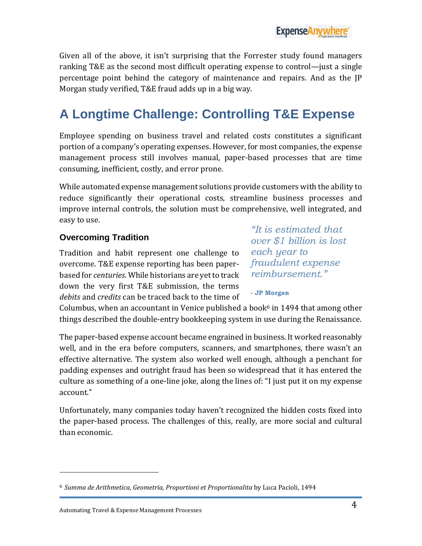Given all of the above, it isn't surprising that the Forrester study found managers ranking T&E as the second most difficult operating expense to control—just a single percentage point behind the category of maintenance and repairs. And as the JP Morgan study verified, T&E fraud adds up in a big way.

# <span id="page-3-0"></span>**A Longtime Challenge: Controlling T&E Expense**

Employee spending on business travel and related costs constitutes a significant portion of a company's operating expenses. However, for most companies, the expense management process still involves manual, paper-based processes that are time consuming, inefficient, costly, and error prone.

While automated expense management solutions provide customers with the ability to reduce significantly their operational costs, streamline business processes and improve internal controls, the solution must be comprehensive, well integrated, and easy to use.

#### <span id="page-3-1"></span>**Overcoming Tradition**

Tradition and habit represent one challenge to overcome. T&E expense reporting has been paperbased for *centuries*. While historians are yet to track down the very first T&E submission, the terms *debits* and *credits* can be traced back to the time of

*"It is estimated that over \$1 billion is lost each year to fraudulent expense reimbursement."*

**- JP Morgan**

Columbus, when an accountant in Venice published a book $6$  in 1494 that among other things described the double-entry bookkeeping system in use during the Renaissance.

The paper-based expense account became engrained in business. It worked reasonably well, and in the era before computers, scanners, and smartphones, there wasn't an effective alternative. The system also worked well enough, although a penchant for padding expenses and outright fraud has been so widespread that it has entered the culture as something of a one-line joke, along the lines of: "I just put it on my expense account."

Unfortunately, many companies today haven't recognized the hidden costs fixed into the paper-based process. The challenges of this, really, are more social and cultural than economic.

 $\overline{a}$ 

<sup>6</sup> *Summa de Arithmetica, Geometria, Proportioni et Proportionalita* by Luca Pacioli, 1494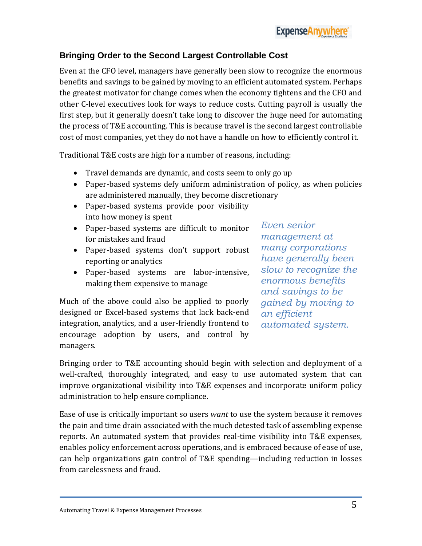#### <span id="page-4-0"></span>**Bringing Order to the Second Largest Controllable Cost**

Even at the CFO level, managers have generally been slow to recognize the enormous benefits and savings to be gained by moving to an efficient automated system. Perhaps the greatest motivator for change comes when the economy tightens and the CFO and other C-level executives look for ways to reduce costs. Cutting payroll is usually the first step, but it generally doesn't take long to discover the huge need for automating the process of T&E accounting. This is because travel is the second largest controllable cost of most companies, yet they do not have a handle on how to efficiently control it.

Traditional T&E costs are high for a number of reasons, including:

- Travel demands are dynamic, and costs seem to only go up
- Paper-based systems defy uniform administration of policy, as when policies are administered manually, they become discretionary
- Paper-based systems provide poor visibility into how money is spent
- Paper-based systems are difficult to monitor for mistakes and fraud
- Paper-based systems don't support robust reporting or analytics
- Paper-based systems are labor-intensive, making them expensive to manage

Much of the above could also be applied to poorly designed or Excel-based systems that lack back-end integration, analytics, and a user-friendly frontend to encourage adoption by users, and control by managers.

*Even senior management at many corporations have generally been slow to recognize the enormous benefits and savings to be gained by moving to an efficient automated system.*

Bringing order to T&E accounting should begin with selection and deployment of a well-crafted, thoroughly integrated, and easy to use automated system that can improve organizational visibility into T&E expenses and incorporate uniform policy administration to help ensure compliance.

Ease of use is critically important so users *want* to use the system because it removes the pain and time drain associated with the much detested task of assembling expense reports. An automated system that provides real-time visibility into T&E expenses, enables policy enforcement across operations, and is embraced because of ease of use, can help organizations gain control of T&E spending—including reduction in losses from carelessness and fraud.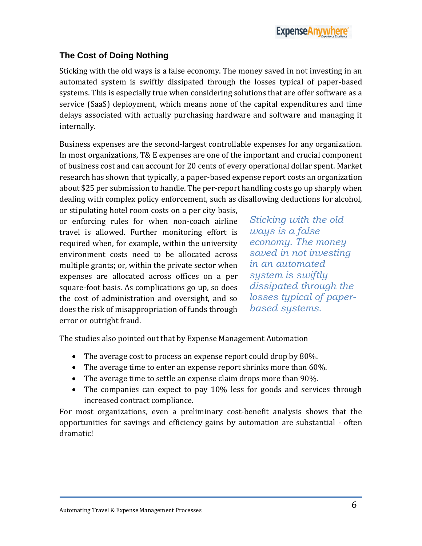#### <span id="page-5-0"></span>**The Cost of Doing Nothing**

Sticking with the old ways is a false economy. The money saved in not investing in an automated system is swiftly dissipated through the losses typical of paper-based systems. This is especially true when considering solutions that are offer software as a service (SaaS) deployment, which means none of the capital expenditures and time delays associated with actually purchasing hardware and software and managing it internally.

Business expenses are the second-largest controllable expenses for any organization. In most organizations, T& E expenses are one of the important and crucial component of business cost and can account for 20 cents of every operational dollar spent. Market research has shown that typically, a paper-based expense report costs an organization about \$25 per submission to handle. The per-report handling costs go up sharply when dealing with complex policy enforcement, such as disallowing deductions for alcohol,

or stipulating hotel room costs on a per city basis, or enforcing rules for when non-coach airline travel is allowed. Further monitoring effort is required when, for example, within the university environment costs need to be allocated across multiple grants; or, within the private sector when expenses are allocated across offices on a per square-foot basis. As complications go up, so does the cost of administration and oversight, and so does the risk of misappropriation of funds through error or outright fraud.

*Sticking with the old ways is a false economy. The money saved in not investing in an automated system is swiftly dissipated through the losses typical of paperbased systems.*

The studies also pointed out that by Expense Management Automation

- The average cost to process an expense report could drop by 80%.
- The average time to enter an expense report shrinks more than 60%.
- The average time to settle an expense claim drops more than 90%.
- The companies can expect to pay 10% less for goods and services through increased contract compliance.

For most organizations, even a preliminary cost-benefit analysis shows that the opportunities for savings and efficiency gains by automation are substantial - often dramatic!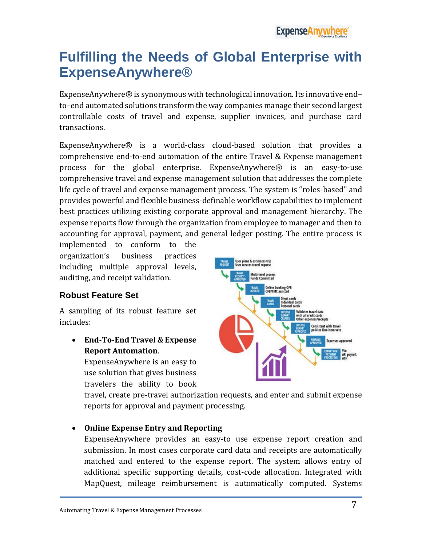# <span id="page-6-0"></span>**Fulfilling the Needs of Global Enterprise with ExpenseAnywhere®**

ExpenseAnywhere® is synonymous with technological innovation. Its innovative end– to–end automated solutions transform the way companies manage their second largest controllable costs of travel and expense, supplier invoices, and purchase card transactions.

ExpenseAnywhere® is a world-class cloud-based solution that provides a comprehensive end-to-end automation of the entire Travel & Expense management process for the global enterprise. ExpenseAnywhere® is an easy-to-use comprehensive travel and expense management solution that addresses the complete life cycle of travel and expense management process. The system is "roles-based" and provides powerful and flexible business-definable workflow capabilities to implement best practices utilizing existing corporate approval and management hierarchy. The expense reports flow through the organization from employee to manager and then to accounting for approval, payment, and general ledger posting. The entire process is

implemented to conform to the organization's business practices including multiple approval levels, auditing, and receipt validation.

#### <span id="page-6-1"></span>**Robust Feature Set**

A sampling of its robust feature set includes:

 **End-To-End Travel & Expense Report Automation**.

ExpenseAnywhere is an easy to use solution that gives business travelers the ability to book



travel, create pre-travel authorization requests, and enter and submit expense reports for approval and payment processing.

#### **Online Expense Entry and Reporting**

ExpenseAnywhere provides an easy-to use expense report creation and submission. In most cases corporate card data and receipts are automatically matched and entered to the expense report. The system allows entry of additional specific supporting details, cost-code allocation. Integrated with MapQuest, mileage reimbursement is automatically computed. Systems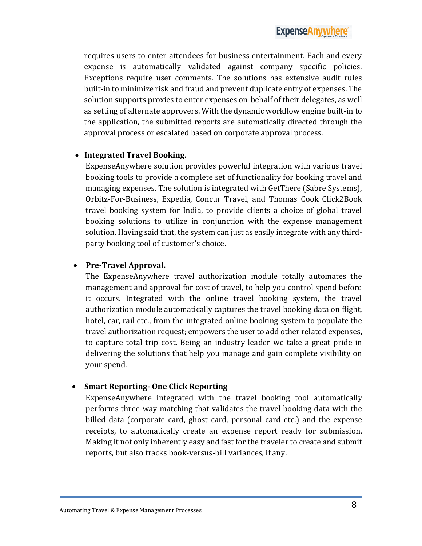requires users to enter attendees for business entertainment. Each and every expense is automatically validated against company specific policies. Exceptions require user comments. The solutions has extensive audit rules built-in to minimize risk and fraud and prevent duplicate entry of expenses. The solution supports proxies to enter expenses on-behalf of their delegates, as well as setting of alternate approvers. With the dynamic workflow engine built-in to the application, the submitted reports are automatically directed through the approval process or escalated based on corporate approval process.

#### **Integrated Travel Booking.**

ExpenseAnywhere solution provides powerful integration with various travel booking tools to provide a complete set of functionality for booking travel and managing expenses. The solution is integrated with GetThere (Sabre Systems), Orbitz-For-Business, Expedia, Concur Travel, and Thomas Cook Click2Book travel booking system for India, to provide clients a choice of global travel booking solutions to utilize in conjunction with the expense management solution. Having said that, the system can just as easily integrate with any thirdparty booking tool of customer's choice.

#### **Pre-Travel Approval.**

The ExpenseAnywhere travel authorization module totally automates the management and approval for cost of travel, to help you control spend before it occurs. Integrated with the online travel booking system, the travel authorization module automatically captures the travel booking data on flight, hotel, car, rail etc., from the integrated online booking system to populate the travel authorization request; empowers the user to add other related expenses, to capture total trip cost. Being an industry leader we take a great pride in delivering the solutions that help you manage and gain complete visibility on your spend.

#### **Smart Reporting- One Click Reporting**

ExpenseAnywhere integrated with the travel booking tool automatically performs three-way matching that validates the travel booking data with the billed data (corporate card, ghost card, personal card etc.) and the expense receipts, to automatically create an expense report ready for submission. Making it not only inherently easy and fast for the traveler to create and submit reports, but also tracks book-versus-bill variances, if any.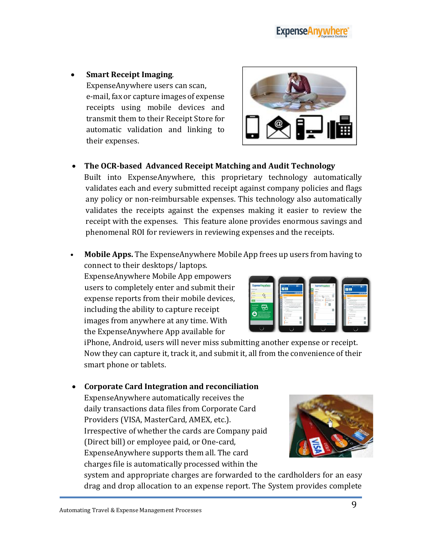#### **Smart Receipt Imaging**.

ExpenseAnywhere users can scan, e-mail, fax or capture images of expense receipts using mobile devices and transmit them to their Receipt Store for automatic validation and linking to their expenses.

#### **The OCR-based Advanced Receipt Matching and Audit Technology**

Built into ExpenseAnywhere, this proprietary technology automatically validates each and every submitted receipt against company policies and flags any policy or non-reimbursable expenses. This technology also automatically validates the receipts against the expenses making it easier to review the receipt with the expenses. This feature alone provides enormous savings and phenomenal ROI for reviewers in reviewing expenses and the receipts.

• **Mobile Apps.** The ExpenseAnywhere Mobile App frees up users from having to connect to their desktops/ laptops.

ExpenseAnywhere Mobile App empowers users to completely enter and submit their expense reports from their mobile devices, including the ability to capture receipt images from anywhere at any time. With the ExpenseAnywhere App available for

iPhone, Android, users will never miss submitting another expense or receipt. Now they can capture it, track it, and submit it, all from the convenience of their smart phone or tablets.

#### **Corporate Card Integration and reconciliation**

ExpenseAnywhere automatically receives the daily transactions data files from Corporate Card Providers (VISA, MasterCard, AMEX, etc.). Irrespective of whether the cards are Company paid (Direct bill) or employee paid, or One-card, ExpenseAnywhere supports them all. The card charges file is automatically processed within the

system and appropriate charges are forwarded to the cardholders for an easy drag and drop allocation to an expense report. The System provides complete





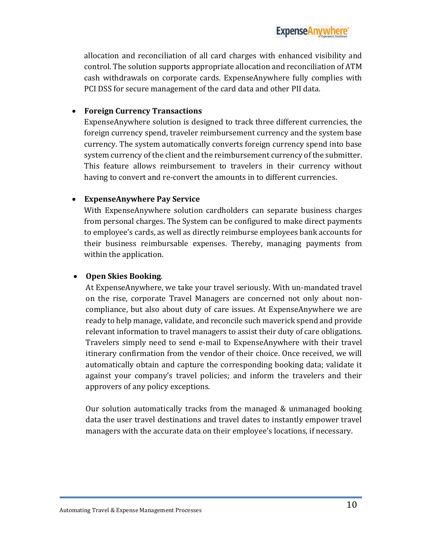allocation and reconciliation of all card charges with enhanced visibility and control. The solution supports appropriate allocation and reconciliation of ATM cash withdrawals on corporate cards. ExpenseAnywhere fully complies with PCI DSS for secure management of the card data and other PII data.

#### **Foreign Currency Transactions**

ExpenseAnywhere solution is designed to track three different currencies, the foreign currency spend, traveler reimbursement currency and the system base currency. The system automatically converts foreign currency spend into base system currency of the client and the reimbursement currency of the submitter. This feature allows reimbursement to travelers in their currency without having to convert and re-convert the amounts in to different currencies.

#### **ExpenseAnywhere Pay Service**

With ExpenseAnywhere solution cardholders can separate business charges from personal charges. The System can be configured to make direct payments to employee's cards, as well as directly reimburse employees bank accounts for their business reimbursable expenses. Thereby, managing payments from within the application.

#### **Open Skies Booking**.

At ExpenseAnywhere, we take your travel seriously. With un-mandated travel on the rise, corporate Travel Managers are concerned not only about noncompliance, but also about duty of care issues. At ExpenseAnywhere we are ready to help manage, validate, and reconcile such maverick spend and provide relevant information to travel managers to assist their duty of care obligations. Travelers simply need to send e-mail to ExpenseAnywhere with their travel itinerary confirmation from the vendor of their choice. Once received, we will automatically obtain and capture the corresponding booking data; validate it against your company's travel policies; and inform the travelers and their approvers of any policy exceptions.

Our solution automatically tracks from the managed & unmanaged booking data the user travel destinations and travel dates to instantly empower travel managers with the accurate data on their employee's locations, if necessary.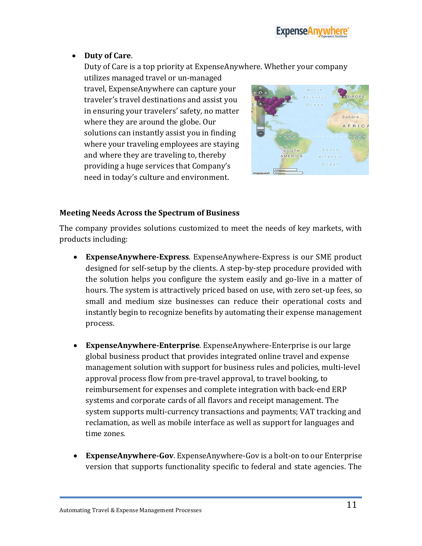

**Duty of Care**.

Duty of Care is a top priority at ExpenseAnywhere. Whether your company

utilizes managed travel or un-managed travel, ExpenseAnywhere can capture your traveler's travel destinations and assist you in ensuring your travelers' safety, no matter where they are around the globe. Our solutions can instantly assist you in finding where your traveling employees are staying and where they are traveling to, thereby providing a huge services that Company's need in today's culture and environment.



#### <span id="page-10-0"></span>**Meeting Needs Across the Spectrum of Business**

The company provides solutions customized to meet the needs of key markets, with products including:

- **ExpenseAnywhere-Express**. ExpenseAnywhere-Express is our SME product designed for self-setup by the clients. A step-by-step procedure provided with the solution helps you configure the system easily and go-live in a matter of hours. The system is attractively priced based on use, with zero set-up fees, so small and medium size businesses can reduce their operational costs and instantly begin to recognize benefits by automating their expense management process.
- **ExpenseAnywhere-Enterprise**. ExpenseAnywhere-Enterprise is our large global business product that provides integrated online travel and expense management solution with support for business rules and policies, multi-level approval process flow from pre-travel approval, to travel booking, to reimbursement for expenses and complete integration with back-end ERP systems and corporate cards of all flavors and receipt management. The system supports multi-currency transactions and payments; VAT tracking and reclamation, as well as mobile interface as well as support for languages and time zones.
- **ExpenseAnywhere-Gov**. ExpenseAnywhere-Gov is a bolt-on to our Enterprise version that supports functionality specific to federal and state agencies. The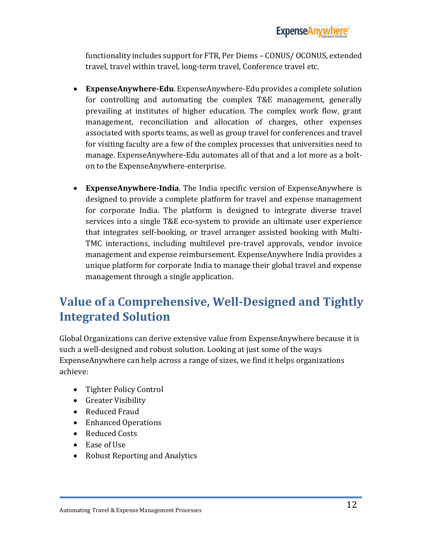functionality includes support for FTR, Per Diems – CONUS/ OCONUS, extended travel, travel within travel, long-term travel, Conference travel etc.

- **ExpenseAnywhere-Edu**. ExpenseAnywhere-Edu provides a complete solution for controlling and automating the complex T&E management, generally prevailing at institutes of higher education. The complex work flow, grant management, reconciliation and allocation of charges, other expenses associated with sports teams, as well as group travel for conferences and travel for visiting faculty are a few of the complex processes that universities need to manage. ExpenseAnywhere-Edu automates all of that and a lot more as a bolton to the ExpenseAnywhere-enterprise.
- **ExpenseAnywhere-India**. The India specific version of ExpenseAnywhere is designed to provide a complete platform for travel and expense management for corporate India. The platform is designed to integrate diverse travel services into a single T&E eco-system to provide an ultimate user experience that integrates self-booking, or travel arranger assisted booking with Multi-TMC interactions, including multilevel pre-travel approvals, vendor invoice management and expense reimbursement. ExpenseAnywhere India provides a unique platform for corporate India to manage their global travel and expense management through a single application.

## <span id="page-11-0"></span>**Value of a Comprehensive, Well-Designed and Tightly Integrated Solution**

Global Organizations can derive extensive value from ExpenseAnywhere because it is such a well-designed and robust solution. Looking at just some of the ways ExpenseAnywhere can help across a range of sizes, we find it helps organizations achieve:

- Tighter Policy Control
- Greater Visibility
- Reduced Fraud
- Enhanced Operations
- Reduced Costs
- Ease of Use
- Robust Reporting and Analytics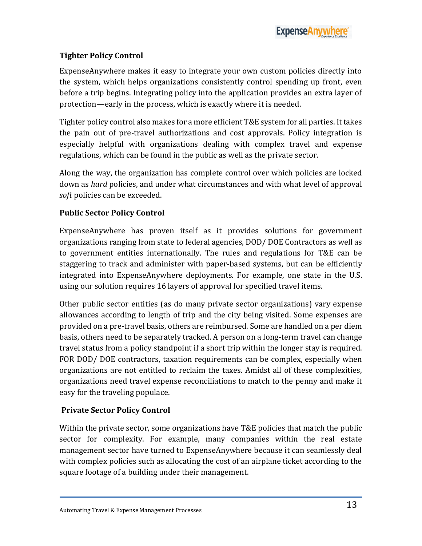#### <span id="page-12-0"></span>**Tighter Policy Control**

ExpenseAnywhere makes it easy to integrate your own custom policies directly into the system, which helps organizations consistently control spending up front, even before a trip begins. Integrating policy into the application provides an extra layer of protection—early in the process, which is exactly where it is needed.

Tighter policy control also makes for a more efficient T&E system for all parties. It takes the pain out of pre-travel authorizations and cost approvals. Policy integration is especially helpful with organizations dealing with complex travel and expense regulations, which can be found in the public as well as the private sector.

Along the way, the organization has complete control over which policies are locked down as *hard* policies, and under what circumstances and with what level of approval *soft* policies can be exceeded.

#### <span id="page-12-1"></span>**Public Sector Policy Control**

ExpenseAnywhere has proven itself as it provides solutions for government organizations ranging from state to federal agencies, DOD/ DOE Contractors as well as to government entities internationally. The rules and regulations for T&E can be staggering to track and administer with paper-based systems, but can be efficiently integrated into ExpenseAnywhere deployments. For example, one state in the U.S. using our solution requires 16 layers of approval for specified travel items.

Other public sector entities (as do many private sector organizations) vary expense allowances according to length of trip and the city being visited. Some expenses are provided on a pre-travel basis, others are reimbursed. Some are handled on a per diem basis, others need to be separately tracked. A person on a long-term travel can change travel status from a policy standpoint if a short trip within the longer stay is required. FOR DOD/ DOE contractors, taxation requirements can be complex, especially when organizations are not entitled to reclaim the taxes. Amidst all of these complexities, organizations need travel expense reconciliations to match to the penny and make it easy for the traveling populace.

#### <span id="page-12-2"></span>**Private Sector Policy Control**

Within the private sector, some organizations have T&E policies that match the public sector for complexity. For example, many companies within the real estate management sector have turned to ExpenseAnywhere because it can seamlessly deal with complex policies such as allocating the cost of an airplane ticket according to the square footage of a building under their management.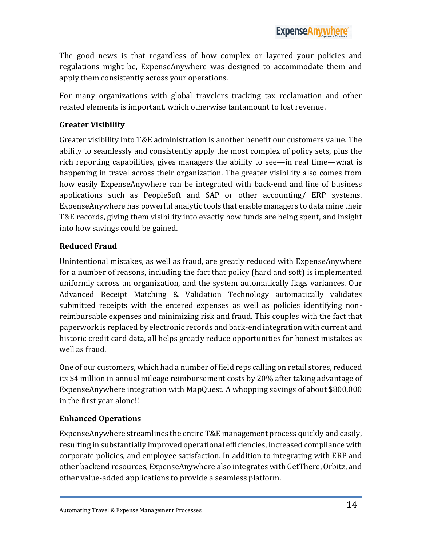The good news is that regardless of how complex or layered your policies and regulations might be, ExpenseAnywhere was designed to accommodate them and apply them consistently across your operations.

For many organizations with global travelers tracking tax reclamation and other related elements is important, which otherwise tantamount to lost revenue.

#### <span id="page-13-0"></span>**Greater Visibility**

Greater visibility into T&E administration is another benefit our customers value. The ability to seamlessly and consistently apply the most complex of policy sets, plus the rich reporting capabilities, gives managers the ability to see—in real time—what is happening in travel across their organization. The greater visibility also comes from how easily ExpenseAnywhere can be integrated with back-end and line of business applications such as PeopleSoft and SAP or other accounting/ ERP systems. ExpenseAnywhere has powerful analytic tools that enable managers to data mine their T&E records, giving them visibility into exactly how funds are being spent, and insight into how savings could be gained.

#### <span id="page-13-1"></span>**Reduced Fraud**

Unintentional mistakes, as well as fraud, are greatly reduced with ExpenseAnywhere for a number of reasons, including the fact that policy (hard and soft) is implemented uniformly across an organization, and the system automatically flags variances. Our Advanced Receipt Matching & Validation Technology automatically validates submitted receipts with the entered expenses as well as policies identifying nonreimbursable expenses and minimizing risk and fraud. This couples with the fact that paperwork is replaced by electronic records and back-end integration with current and historic credit card data, all helps greatly reduce opportunities for honest mistakes as well as fraud.

One of our customers, which had a number of field reps calling on retail stores, reduced its \$4 million in annual mileage reimbursement costs by 20% after taking advantage of ExpenseAnywhere integration with MapQuest. A whopping savings of about \$800,000 in the first year alone!!

#### <span id="page-13-2"></span>**Enhanced Operations**

ExpenseAnywhere streamlines the entire T&E management process quickly and easily, resulting in substantially improved operational efficiencies, increased compliance with corporate policies, and employee satisfaction. In addition to integrating with ERP and other backend resources, ExpenseAnywhere also integrates with GetThere, Orbitz, and other value-added applications to provide a seamless platform.